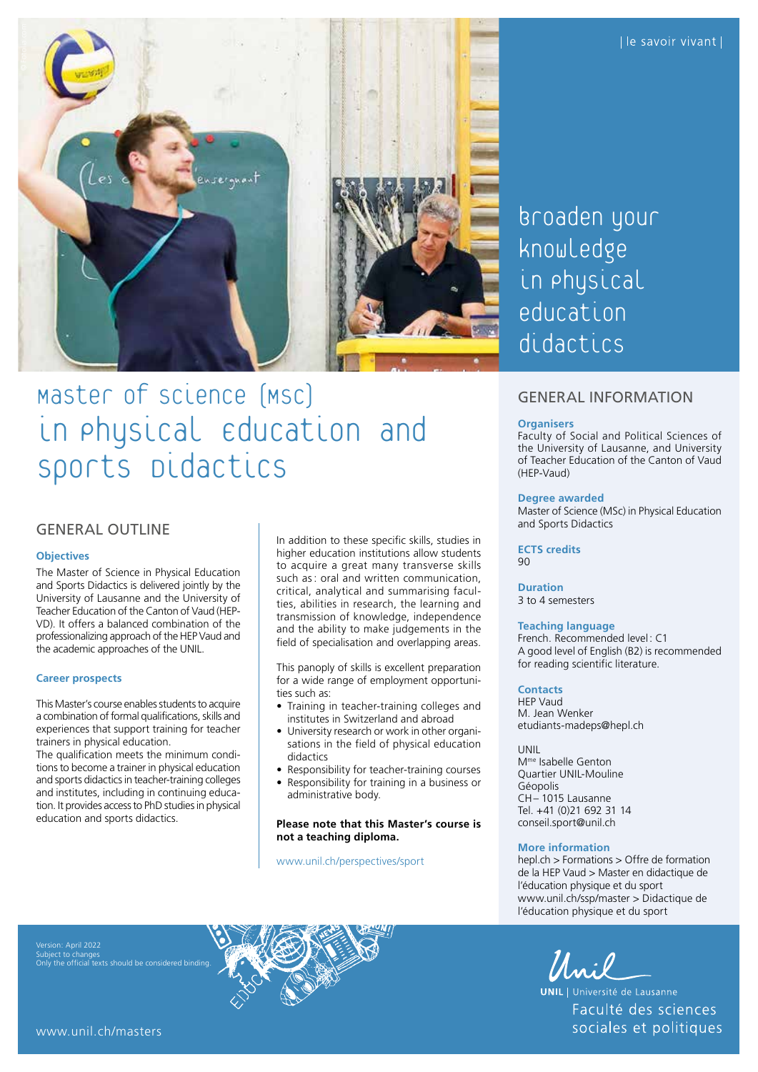

# Master of science (MSC) in Physical Education and sports *Didactics*

# GENERAL OUTLINE

# **Objectives**

The Master of Science in Physical Education and Sports Didactics is delivered jointly by the University of Lausanne and the University of Teacher Education of the Canton of Vaud (HEP-VD). It offers a balanced combination of the professionalizing approach of the HEP Vaud and the academic approaches of the UNIL.

# **Career prospects**

This Master's course enables students to acquire a combination of formal qualifications, skills and experiences that support training for teacher trainers in physical education.

The qualification meets the minimum conditions to become a trainer in physical education and sports didactics in teacher-training colleges and institutes, including in continuing education. It provides access to PhD studies in physical education and sports didactics.

In addition to these specific skills, studies in higher education institutions allow students to acquire a great many transverse skills such as: oral and written communication, critical, analytical and summarising faculties, abilities in research, the learning and transmission of knowledge, independence and the ability to make judgements in the field of specialisation and overlapping areas.

This panoply of skills is excellent preparation for a wide range of employment opportunities such as:

- Training in teacher-training colleges and institutes in Switzerland and abroad
- University research or work in other organisations in the field of physical education didactics
- Responsibility for teacher-training courses
- Responsibility for training in a business or administrative body.

## **Please note that this Master's course is not a teaching diploma.**

[www.unil.ch/perspectives/sport](http://www.unil.ch/perspectives/sport)

broaden your knowledge in physical education didactics

# GENERAL INFORMATION

## **Organisers**

Faculty of Social and Political Sciences of the University of Lausanne, and University of Teacher Education of the Canton of Vaud (HEP-Vaud)

# **Degree awarded**

Master of Science (MSc) in Physical Education and Sports Didactics

#### **ECTS credits** 90

**Duration** 3 to 4 semesters

#### **Teaching language**

French. Recommended level: C1 A good level of English (B2) is recommended for reading scientific literature.

# **Contacts**

HEP Vaud M. Jean Wenker [etudiants-madeps@hepl.ch](mailto:etudiants-madeps@hepl.ch)

UNIL Mme Isabelle Genton Quartier UNIL-Mouline Géopolis CH– 1015 Lausanne Tel. +41 (0)21 692 31 14 [conseil.sport@unil.ch](mailto:conseil.sport@unil.ch)

#### **More information**

[hepl.ch](https://candidat.hepl.ch/cms/accueil/formations-en-education/master-didactique-education-phys.html) > Formations > Offre de formation de la HEP Vaud > Master en didactique de l'éducation physique et du sport [www.unil.ch/ssp/master](http://www.unil.ch/ssp/master) > Didactique de l'éducation physique et du sport

Unil

**UNIL** | Université de Lausanne Faculté des sciences sociales et politiques